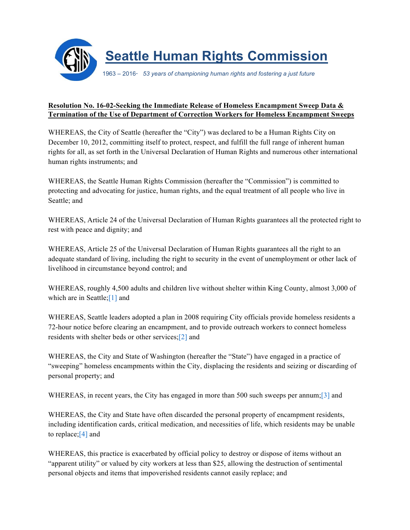

## **Resolution No. 16-02-Seeking the Immediate Release of Homeless Encampment Sweep Data & Termination of the Use of Department of Correction Workers for Homeless Encampment Sweeps**

WHEREAS, the City of Seattle (hereafter the "City") was declared to be a Human Rights City on December 10, 2012, committing itself to protect, respect, and fulfill the full range of inherent human rights for all, as set forth in the Universal Declaration of Human Rights and numerous other international human rights instruments; and

WHEREAS, the Seattle Human Rights Commission (hereafter the "Commission") is committed to protecting and advocating for justice, human rights, and the equal treatment of all people who live in Seattle; and

WHEREAS, Article 24 of the Universal Declaration of Human Rights guarantees all the protected right to rest with peace and dignity; and

WHEREAS, Article 25 of the Universal Declaration of Human Rights guarantees all the right to an adequate standard of living, including the right to security in the event of unemployment or other lack of livelihood in circumstance beyond control; and

WHEREAS, roughly 4,500 adults and children live without shelter within King County, almost 3,000 of which are in Seattle;[1] and

WHEREAS, Seattle leaders adopted a plan in 2008 requiring City officials provide homeless residents a 72-hour notice before clearing an encampment, and to provide outreach workers to connect homeless residents with shelter beds or other services;[2] and

WHEREAS, the City and State of Washington (hereafter the "State") have engaged in a practice of "sweeping" homeless encampments within the City, displacing the residents and seizing or discarding of personal property; and

WHEREAS, in recent years, the City has engaged in more than 500 such sweeps per annum; [3] and

WHEREAS, the City and State have often discarded the personal property of encampment residents, including identification cards, critical medication, and necessities of life, which residents may be unable to replace;[4] and

WHEREAS, this practice is exacerbated by official policy to destroy or dispose of items without an "apparent utility" or valued by city workers at less than \$25, allowing the destruction of sentimental personal objects and items that impoverished residents cannot easily replace; and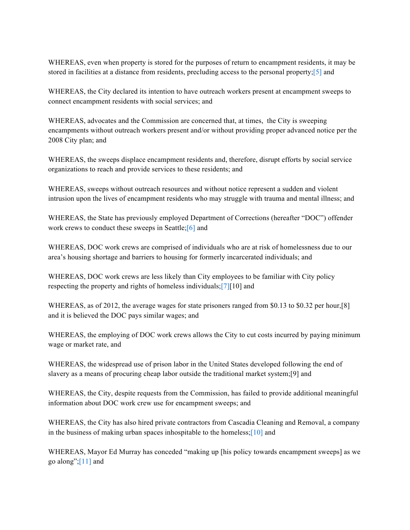WHEREAS, even when property is stored for the purposes of return to encampment residents, it may be stored in facilities at a distance from residents, precluding access to the personal property;[5] and

WHEREAS, the City declared its intention to have outreach workers present at encampment sweeps to connect encampment residents with social services; and

WHEREAS, advocates and the Commission are concerned that, at times, the City is sweeping encampments without outreach workers present and/or without providing proper advanced notice per the 2008 City plan; and

WHEREAS, the sweeps displace encampment residents and, therefore, disrupt efforts by social service organizations to reach and provide services to these residents; and

WHEREAS, sweeps without outreach resources and without notice represent a sudden and violent intrusion upon the lives of encampment residents who may struggle with trauma and mental illness; and

WHEREAS, the State has previously employed Department of Corrections (hereafter "DOC") offender work crews to conduct these sweeps in Seattle;[6] and

WHEREAS, DOC work crews are comprised of individuals who are at risk of homelessness due to our area's housing shortage and barriers to housing for formerly incarcerated individuals; and

WHEREAS, DOC work crews are less likely than City employees to be familiar with City policy respecting the property and rights of homeless individuals;[7][10] and

WHEREAS, as of 2012, the average wages for state prisoners ranged from \$0.13 to \$0.32 per hour,[8] and it is believed the DOC pays similar wages; and

WHEREAS, the employing of DOC work crews allows the City to cut costs incurred by paying minimum wage or market rate, and

WHEREAS, the widespread use of prison labor in the United States developed following the end of slavery as a means of procuring cheap labor outside the traditional market system;[9] and

WHEREAS, the City, despite requests from the Commission, has failed to provide additional meaningful information about DOC work crew use for encampment sweeps; and

WHEREAS, the City has also hired private contractors from Cascadia Cleaning and Removal, a company in the business of making urban spaces inhospitable to the homeless;[10] and

WHEREAS, Mayor Ed Murray has conceded "making up [his policy towards encampment sweeps] as we go along"; $[11]$  and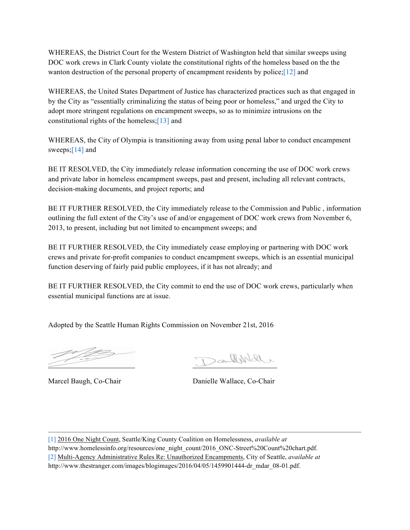WHEREAS, the District Court for the Western District of Washington held that similar sweeps using DOC work crews in Clark County violate the constitutional rights of the homeless based on the the wanton destruction of the personal property of encampment residents by police;[12] and

WHEREAS, the United States Department of Justice has characterized practices such as that engaged in by the City as "essentially criminalizing the status of being poor or homeless," and urged the City to adopt more stringent regulations on encampment sweeps, so as to minimize intrusions on the constitutional rights of the homeless;[13] and

WHEREAS, the City of Olympia is transitioning away from using penal labor to conduct encampment sweeps;<sup>[14]</sup> and

BE IT RESOLVED, the City immediately release information concerning the use of DOC work crews and private labor in homeless encampment sweeps, past and present, including all relevant contracts, decision-making documents, and project reports; and

BE IT FURTHER RESOLVED, the City immediately release to the Commission and Public , information outlining the full extent of the City's use of and/or engagement of DOC work crews from November 6, 2013, to present, including but not limited to encampment sweeps; and

BE IT FURTHER RESOLVED, the City immediately cease employing or partnering with DOC work crews and private for-profit companies to conduct encampment sweeps, which is an essential municipal function deserving of fairly paid public employees, if it has not already; and

BE IT FURTHER RESOLVED, the City commit to end the use of DOC work crews, particularly when essential municipal functions are at issue.

Adopted by the Seattle Human Rights Commission on November 21st, 2016

Danlike

Marcel Baugh, Co-Chair Danielle Wallace, Co-Chair

[1] 2016 One Night Count, Seattle/King County Coalition on Homelessness, *available at*  http://www.homelessinfo.org/resources/one\_night\_count/2016\_ONC-Street%20Count%20chart.pdf. [2] Multi-Agency Administrative Rules Re: Unauthorized Encampments, City of Seattle, *available at*  http://www.thestranger.com/images/blogimages/2016/04/05/1459901444-dr\_mdar\_08-01.pdf.